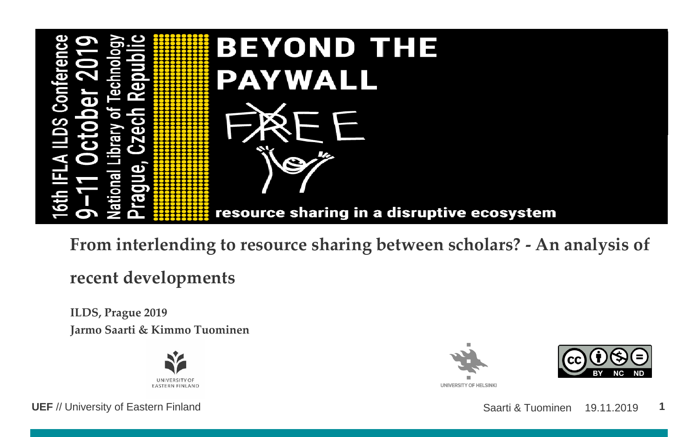

**From interlending to resource sharing between scholars? - An analysis of recent developments**

**ILDS, Prague 2019 Jarmo Saarti & Kimmo Tuominen**



**UNIVERSITY OF HELSINKI** 

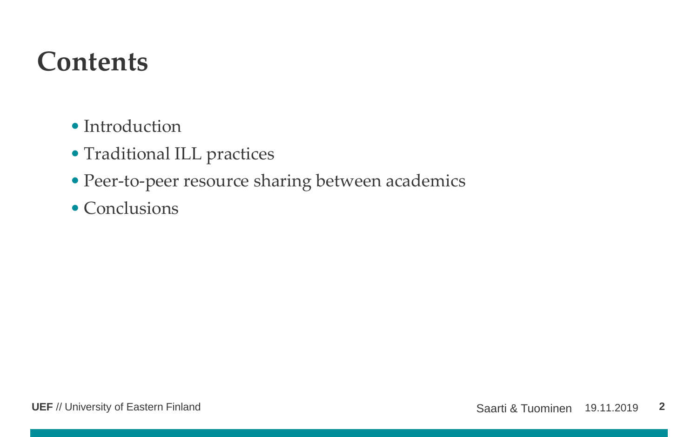#### **Contents**

- Introduction
- Traditional ILL practices
- Peer-to-peer resource sharing between academics
- Conclusions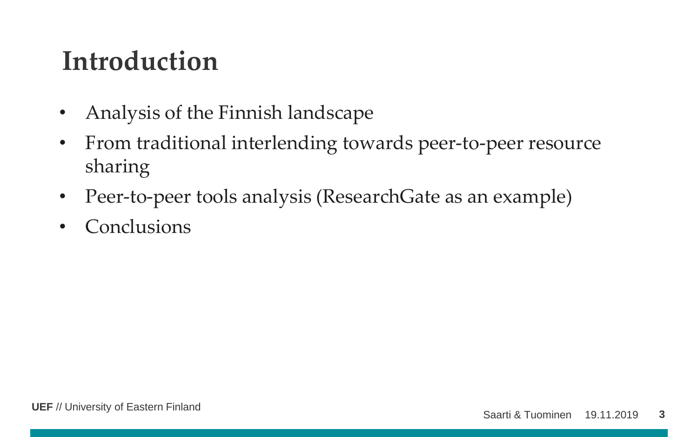### **Introduction**

- Analysis of the Finnish landscape
- From traditional interlending towards peer-to-peer resource sharing
- Peer-to-peer tools analysis (ResearchGate as an example)
- Conclusions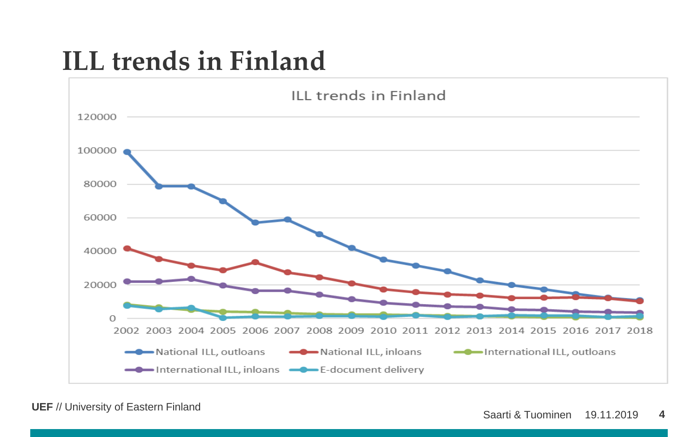### **ILL trends in Finland**



**UEF** // University of Eastern Finland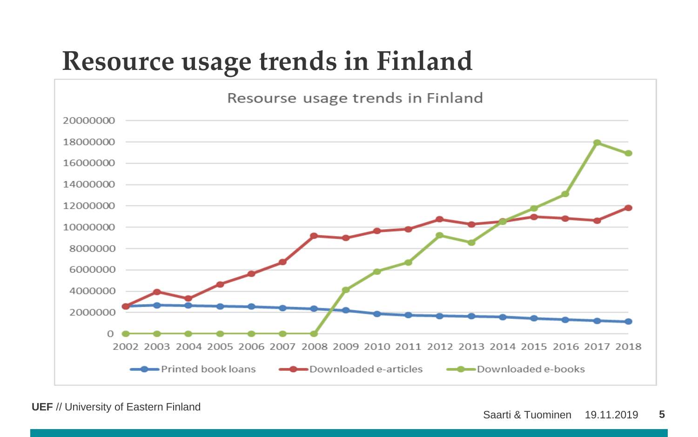# **Resource usage trends in Finland**



**UEF** // University of Eastern Finland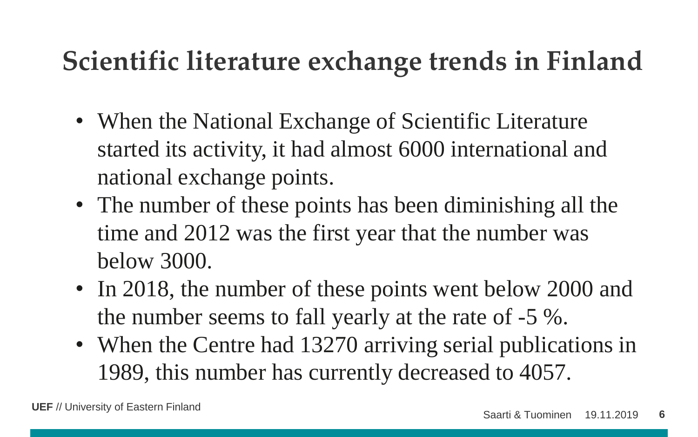# **Scientific literature exchange trends in Finland**

- When the National Exchange of Scientific Literature started its activity, it had almost 6000 international and national exchange points.
- The number of these points has been diminishing all the time and 2012 was the first year that the number was below 3000.
- In 2018, the number of these points went below 2000 and the number seems to fall yearly at the rate of -5 %.
- When the Centre had 13270 arriving serial publications in 1989, this number has currently decreased to 4057.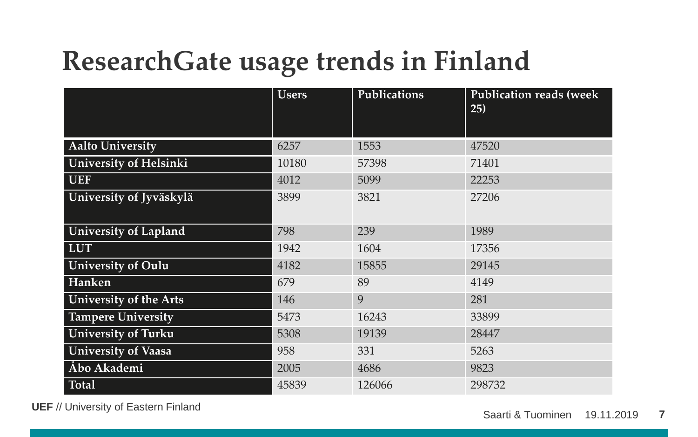# **ResearchGate usage trends in Finland**

|                               | <b>Users</b> | Publications | <b>Publication reads (week)</b><br>25) |
|-------------------------------|--------------|--------------|----------------------------------------|
|                               |              |              |                                        |
| <b>Aalto University</b>       | 6257         | 1553         | 47520                                  |
| <b>University of Helsinki</b> | 10180        | 57398        | 71401                                  |
| <b>UEF</b>                    | 4012         | 5099         | 22253                                  |
| University of Jyväskylä       | 3899         | 3821         | 27206                                  |
|                               |              |              |                                        |
| University of Lapland         | 798          | 239          | 1989                                   |
| <b>LUT</b>                    | 1942         | 1604         | 17356                                  |
| <b>University of Oulu</b>     | 4182         | 15855        | 29145                                  |
| Hanken                        | 679          | 89           | 4149                                   |
| University of the Arts        | 146          | 9            | 281                                    |
| <b>Tampere University</b>     | 5473         | 16243        | 33899                                  |
| <b>University of Turku</b>    | 5308         | 19139        | 28447                                  |
| <b>University of Vaasa</b>    | 958          | 331          | 5263                                   |
| Åbo Akademi                   | 2005         | 4686         | 9823                                   |
| <b>Total</b>                  | 45839        | 126066       | 298732                                 |

**UEF** // University of Eastern Finland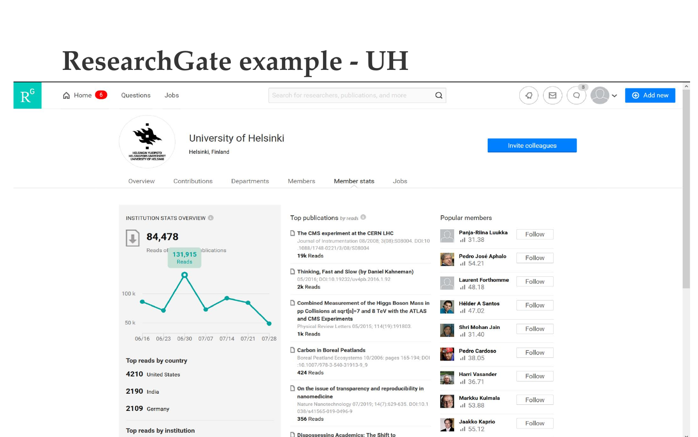#### **ResearchGate example - UH**

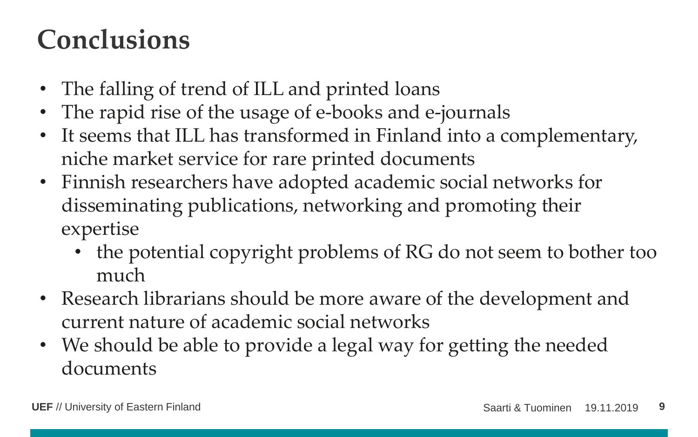# **Conclusions**

- The falling of trend of ILL and printed loans
- The rapid rise of the usage of e-books and e-journals
- It seems that ILL has transformed in Finland into a complementary, niche market service for rare printed documents
- Finnish researchers have adopted academic social networks for disseminating publications, networking and promoting their expertise
	- the potential copyright problems of RG do not seem to bother too much
- Research librarians should be more aware of the development and current nature of academic social networks
- We should be able to provide a legal way for getting the needed documents